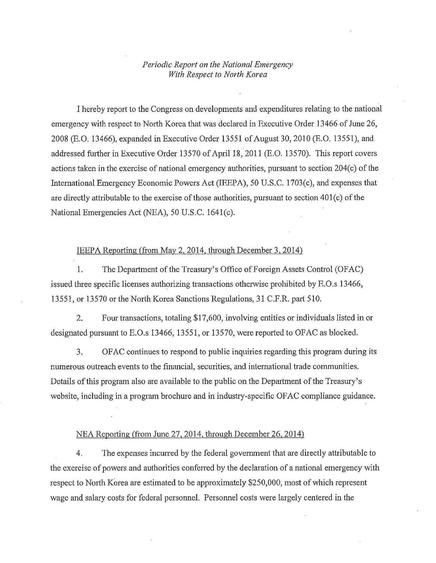## *Periodic Report on the National Emergency With Respect to North Korea*

I hereby report to the Congress on developments and expenditures relating to the national emergency with respect to North Korea that was declared in Executive Order 13466 of June 26, 2008 (E.O. 13466), expanded in Executive Order 13551 of August 30, 2010 (E.O. 13551), and addressed further in Executive Order 13570 of April 18, 2011 (E.O. 13570). This report covers actions taken in the exercise of national emergency authorities, pursuant to section 204(c) of the International Emergency Economic Powers Act (IEEPA), 50 U.S.C. 1703(c), and expenses that are directly attributable to the exercise of those authorities, pursuant to section 401(c) of the National Emergencies Act (NEA), 50 U.S.C. 1641(c).

## IEEPA Reporting (from May 2, 2014, through December 3, 2014)

1. The Department of the Treasury's Office of Foreign Assets Control (OFAC) issued three specific licenses authorizing transactions otherwise prohibited by E.O.s 13466, 13551, or 13570 or the North Korea Sanctions Regulations, 31 C.P.R. part 510.

2. Four transactions, totaling \$17,600, involving entities or individuals listed in or designated pursuant to E.O.s 13466, 13551, or 13570, were reported to OFAC as blocked.

3. OFAC continues to respond to public inquiries regarding this program during its numerous outreach events to the financial, securities, and international trade communities. Details of this program also are available to the public on the Department of the Treasury's website, including in a program brochure and in industry-specific OF AC compliance guidance.

## NEA Reporting (from June 27,2014, through December 26, 2014)

4. The expenses incurred by the federal government that are directly attributable to the exercise of powers and authorities conferred by the declaration of a national emergency with respect to North Korea are estimated to be approximately \$250,000, most of which represent wage and salary costs for federal personnel. Personnel costs were largely centered in the